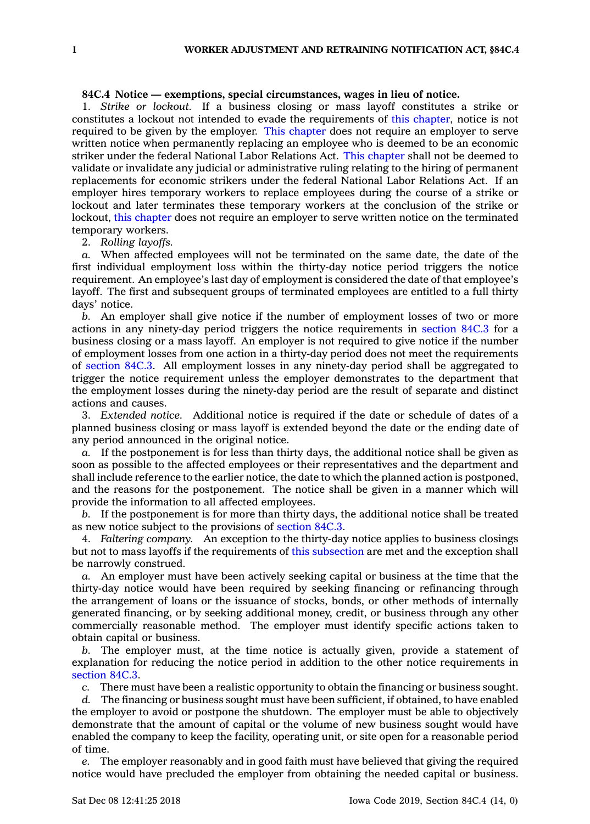## **84C.4 Notice — exemptions, special circumstances, wages in lieu of notice.**

1. *Strike or lockout.* If <sup>a</sup> business closing or mass layoff constitutes <sup>a</sup> strike or constitutes <sup>a</sup> lockout not intended to evade the requirements of this [chapter](https://www.legis.iowa.gov/docs/code//84C.pdf), notice is not required to be given by the employer. This [chapter](https://www.legis.iowa.gov/docs/code//84C.pdf) does not require an employer to serve written notice when permanently replacing an employee who is deemed to be an economic striker under the federal National Labor Relations Act. This [chapter](https://www.legis.iowa.gov/docs/code//84C.pdf) shall not be deemed to validate or invalidate any judicial or administrative ruling relating to the hiring of permanent replacements for economic strikers under the federal National Labor Relations Act. If an employer hires temporary workers to replace employees during the course of <sup>a</sup> strike or lockout and later terminates these temporary workers at the conclusion of the strike or lockout, this [chapter](https://www.legis.iowa.gov/docs/code//84C.pdf) does not require an employer to serve written notice on the terminated temporary workers.

2. *Rolling layoffs.*

*a.* When affected employees will not be terminated on the same date, the date of the first individual employment loss within the thirty-day notice period triggers the notice requirement. An employee's last day of employment is considered the date of that employee's layoff. The first and subsequent groups of terminated employees are entitled to <sup>a</sup> full thirty days' notice.

*b.* An employer shall give notice if the number of employment losses of two or more actions in any ninety-day period triggers the notice requirements in [section](https://www.legis.iowa.gov/docs/code/84C.3.pdf) 84C.3 for <sup>a</sup> business closing or <sup>a</sup> mass layoff. An employer is not required to give notice if the number of employment losses from one action in <sup>a</sup> thirty-day period does not meet the requirements of [section](https://www.legis.iowa.gov/docs/code/84C.3.pdf) 84C.3. All employment losses in any ninety-day period shall be aggregated to trigger the notice requirement unless the employer demonstrates to the department that the employment losses during the ninety-day period are the result of separate and distinct actions and causes.

3. *Extended notice.* Additional notice is required if the date or schedule of dates of <sup>a</sup> planned business closing or mass layoff is extended beyond the date or the ending date of any period announced in the original notice.

*a.* If the postponement is for less than thirty days, the additional notice shall be given as soon as possible to the affected employees or their representatives and the department and shall include reference to the earlier notice, the date to which the planned action is postponed, and the reasons for the postponement. The notice shall be given in <sup>a</sup> manner which will provide the information to all affected employees.

*b.* If the postponement is for more than thirty days, the additional notice shall be treated as new notice subject to the provisions of [section](https://www.legis.iowa.gov/docs/code/84C.3.pdf) 84C.3.

4. *Faltering company.* An exception to the thirty-day notice applies to business closings but not to mass layoffs if the requirements of this [subsection](https://www.legis.iowa.gov/docs/code/84C.4.pdf) are met and the exception shall be narrowly construed.

*a.* An employer must have been actively seeking capital or business at the time that the thirty-day notice would have been required by seeking financing or refinancing through the arrangement of loans or the issuance of stocks, bonds, or other methods of internally generated financing, or by seeking additional money, credit, or business through any other commercially reasonable method. The employer must identify specific actions taken to obtain capital or business.

*b.* The employer must, at the time notice is actually given, provide <sup>a</sup> statement of explanation for reducing the notice period in addition to the other notice requirements in [section](https://www.legis.iowa.gov/docs/code/84C.3.pdf) 84C.3.

*c.* There must have been <sup>a</sup> realistic opportunity to obtain the financing or business sought.

*d.* The financing or business sought must have been sufficient, if obtained, to have enabled the employer to avoid or postpone the shutdown. The employer must be able to objectively demonstrate that the amount of capital or the volume of new business sought would have enabled the company to keep the facility, operating unit, or site open for <sup>a</sup> reasonable period of time.

*e.* The employer reasonably and in good faith must have believed that giving the required notice would have precluded the employer from obtaining the needed capital or business.